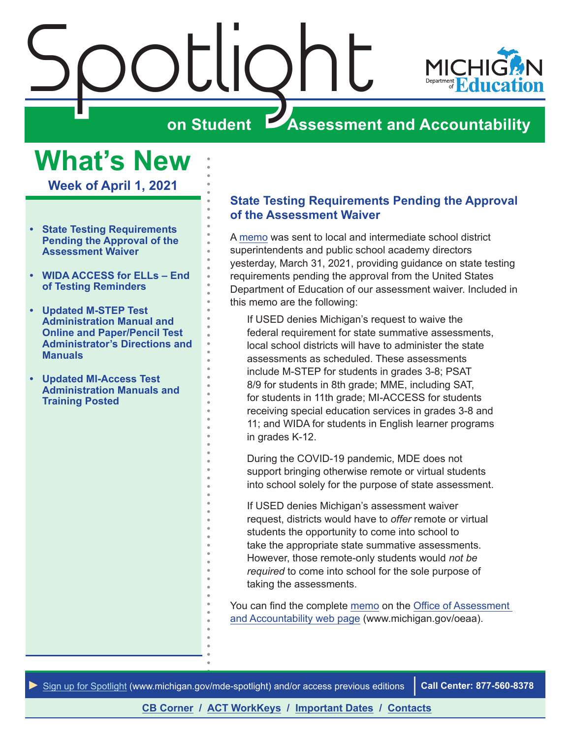<span id="page-0-0"></span>

**What's New**

**Week of April 1, 2021**

- **• State Testing Requirements Pending the Approval of the Assessment Waiver**
- **• [WIDA ACCESS for ELLs End](#page-1-0)  [of Testing Reminders](#page-1-0)**
- **• [Updated M-STEP Test](#page-1-0)  [Administration Manual and](#page-1-0)  [Online and Paper/Pencil Test](#page-1-0)  [Administrator's Directions and](#page-1-0)  [Manuals](#page-1-0)**
- **• [Updated MI-Access Test](#page-2-0)  [Administration Manuals and](#page-2-0)  [Training Posted](#page-2-0)**

#### **State Testing Requirements Pending the Approval of the Assessment Waiver**

A [memo](https://www.michigan.gov/documents/mde/State_Testing_Pending_Waivers_720951_7.pdf) was sent to local and intermediate school district superintendents and public school academy directors yesterday, March 31, 2021, providing guidance on state testing requirements pending the approval from the United States Department of Education of our assessment waiver. Included in this memo are the following:

If USED denies Michigan's request to waive the federal requirement for state summative assessments, local school districts will have to administer the state assessments as scheduled. These assessments include M-STEP for students in grades 3-8; PSAT 8/9 for students in 8th grade; MME, including SAT, for students in 11th grade; MI-ACCESS for students receiving special education services in grades 3-8 and 11; and WIDA for students in English learner programs in grades K-12.

During the COVID-19 pandemic, MDE does not support bringing otherwise remote or virtual students into school solely for the purpose of state assessment.

If USED denies Michigan's assessment waiver request, districts would have to *offer* remote or virtual students the opportunity to come into school to take the appropriate state summative assessments. However, those remote-only students would *not be required* to come into school for the sole purpose of taking the assessments.

You can find the complete [memo](https://www.michigan.gov/documents/mde/State_Testing_Pending_Waivers_720951_7.pdf) on the [Office of Assessment](http://www.michigan.gov/oeaa)  [and Accountability web page](http://www.michigan.gov/oeaa) (www.michigan.gov/oeaa).

*►* [Sign up for Spotlight](https://public.govdelivery.com/accounts/MIMDE/subscriber/new) [\(www.michigan.gov/mde](www.michigan.gov/mde-spotlight)-spotlight) and/or access previous editions **Call Center: 877-560-8378**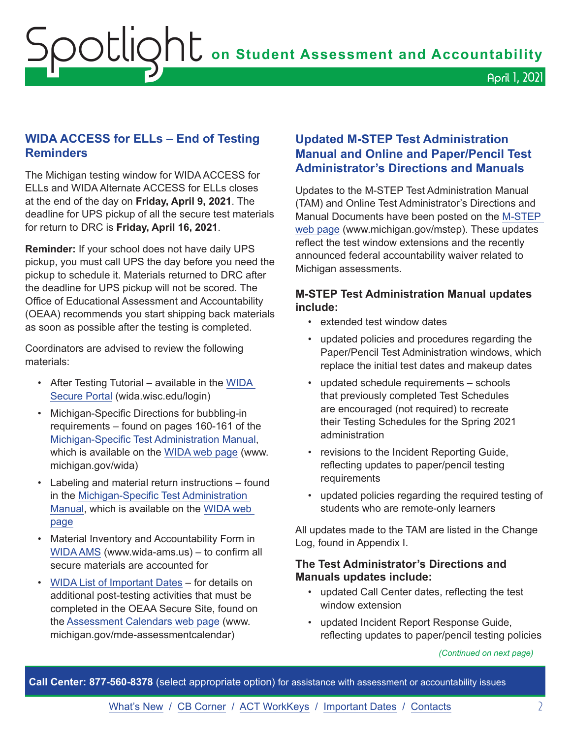## <span id="page-1-0"></span>**WIDA ACCESS for ELLs – End of Testing Reminders**

The Michigan testing window for WIDA ACCESS for ELLs and WIDA Alternate ACCESS for ELLs closes at the end of the day on **Friday, April 9, 2021**. The deadline for UPS pickup of all the secure test materials for return to DRC is **Friday, April 16, 2021**.

**Reminder:** If your school does not have daily UPS pickup, you must call UPS the day before you need the pickup to schedule it. Materials returned to DRC after the deadline for UPS pickup will not be scored. The Office of Educational Assessment and Accountability (OEAA) recommends you start shipping back materials as soon as possible after the testing is completed.

Coordinators are advised to review the following materials:

- After Testing Tutorial available in the [WIDA](http://www.collegeboard.org/ptat)  [Secure Portal](http://www.collegeboard.org/ptat) (wida.wisc.edu/login)
- Michigan-Specific Directions for bubbling-in requirements – found on pages 160-161 of the [Michigan-Specific Test Administration Manual,](https://www.michigan.gov/documents/mde/WIDA_Michigan_Specific_TAM_635431_7.pdf) which is available on the [WIDA web page](www.michigan.gov/wida) (www. michigan.gov/wida)
- Labeling and material return instructions found in the [Michigan-Specific Test Administration](https://www.michigan.gov/documents/mde/WIDA_Michigan_Specific_TAM_635431_7.pdf)  [Manual](https://www.michigan.gov/documents/mde/WIDA_Michigan_Specific_TAM_635431_7.pdf), which is available on the [WIDA web](www.michigan.gov/wida)  [page](www.michigan.gov/wida)
- Material Inventory and Accountability Form in [WIDA AMS](http://www.wida-ams.us) (www.wida-ams.us) – to confirm all secure materials are accounted for
- [WIDA List of Important Dates](mailto:ACTStateAccoms@act.org)  for details on additional post-testing activities that must be completed in the OEAA Secure Site, found on the [Assessment Calendars web page](http://www.michigan.gov/mde-assessmentcalendar) (www. michigan.gov/mde-assessmentcalendar)

#### **Updated M-STEP Test Administration Manual and Online and Paper/Pencil Test Administrator's Directions and Manuals**

Updates to the M-STEP Test Administration Manual (TAM) and Online Test Administrator's Directions and Manual Documents have been posted on the [M-STEP](www.michigan.gov/mstep)  [web page](www.michigan.gov/mstep) (www.michigan.gov/mstep). These updates reflect the test window extensions and the recently announced federal accountability waiver related to Michigan assessments.

#### **M-STEP Test Administration Manual updates include:**

- extended test window dates
- updated policies and procedures regarding the Paper/Pencil Test Administration windows, which replace the initial test dates and makeup dates
- updated schedule requirements schools that previously completed Test Schedules are encouraged (not required) to recreate their Testing Schedules for the Spring 2021 administration
- revisions to the Incident Reporting Guide, reflecting updates to paper/pencil testing requirements
- updated policies regarding the required testing of students who are remote-only learners

All updates made to the TAM are listed in the Change Log, found in Appendix I.

#### **The Test Administrator's Directions and Manuals updates include:**

- updated Call Center dates, reflecting the test window extension
- updated Incident Report Response Guide, reflecting updates to paper/pencil testing policies

*(Continued on next page)*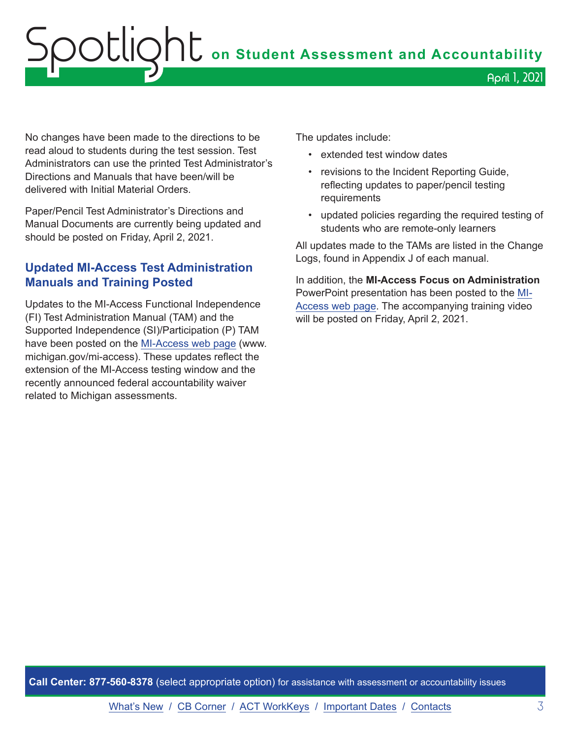# <span id="page-2-0"></span>Spotlight **on Student Assessment and Accountability** April 1, 2021

No changes have been made to the directions to be read aloud to students during the test session. Test Administrators can use the printed Test Administrator's Directions and Manuals that have been/will be delivered with Initial Material Orders.

Paper/Pencil Test Administrator's Directions and Manual Documents are currently being updated and should be posted on Friday, April 2, 2021.

#### **Updated MI-Access Test Administration Manuals and Training Posted**

Updates to the MI-Access Functional Independence (FI) Test Administration Manual (TAM) and the Supported Independence (SI)/Participation (P) TAM have been posted on the [MI-Access web page](http://www.michigan.gov/mi-access) (www. michigan.gov/mi-access). These updates reflect the extension of the MI-Access testing window and the recently announced federal accountability waiver related to Michigan assessments.

The updates include:

- extended test window dates
- revisions to the Incident Reporting Guide, reflecting updates to paper/pencil testing requirements
- updated policies regarding the required testing of students who are remote-only learners

All updates made to the TAMs are listed in the Change Logs, found in Appendix J of each manual.

In addition, the **MI-Access Focus on Administration** PowerPoint presentation has been posted to the [MI-](http://www.michigan.gov/mi-access)[Access web page](http://www.michigan.gov/mi-access). The accompanying training video will be posted on Friday, April 2, 2021.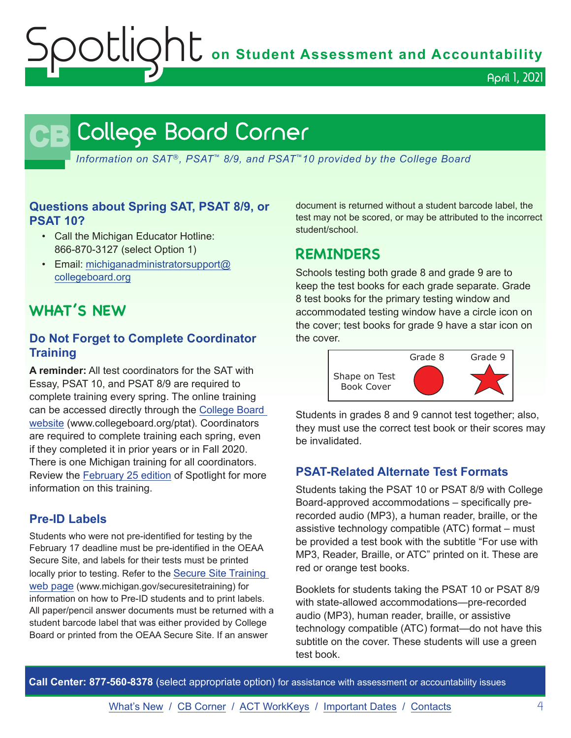Spotlight **on Student Assessment and Accountability**

April 1, 2021

# **CB** College Board Corner

<span id="page-3-0"></span>*Information on SAT*®*, PSAT*™ *8/9, and PSAT*™*10 provided by the College Board*

#### **Questions about Spring SAT, PSAT 8/9, or PSAT 10?**

- Call the Michigan Educator Hotline: 866-870-3127 (select Option 1)
- Email: [michiganadministratorsupport@](mailto:michiganadministratorsupport%40collegeboard.org?subject=) [collegeboard.org](mailto:michiganadministratorsupport%40collegeboard.org?subject=)

# **WHAT'S NEW**

#### **Do Not Forget to Complete Coordinator Training**

**A reminder:** All test coordinators for the SAT with Essay, PSAT 10, and PSAT 8/9 are required to complete training every spring. The online training can be accessed directly through the [College Board](http://www.collegeboard.org/ptat)  [website](http://www.collegeboard.org/ptat) (www.collegeboard.org/ptat). Coordinators are required to complete training each spring, even if they completed it in prior years or in Fall 2020. There is one Michigan training for all coordinators. Review the [February 25 edition](https://www.michigan.gov/documents/mde/Spotlight_2-25-21_717569_7.pdf) of Spotlight for more information on this training.

#### **Pre-ID Labels**

Students who were not pre-identified for testing by the February 17 deadline must be pre-identified in the OEAA Secure Site, and labels for their tests must be printed locally prior to testing. Refer to the [Secure Site Training](http://www.michigan.gov/securesitetraining)  [web page](http://www.michigan.gov/securesitetraining) (www.michigan.gov/securesitetraining) for information on how to Pre-ID students and to print labels. All paper/pencil answer documents must be returned with a student barcode label that was either provided by College Board or printed from the OEAA Secure Site. If an answer

document is returned without a student barcode label, the test may not be scored, or may be attributed to the incorrect student/school.

## **REMINDERS**

Schools testing both grade 8 and grade 9 are to keep the test books for each grade separate. Grade 8 test books for the primary testing window and accommodated testing window have a circle icon on the cover; test books for grade 9 have a star icon on the cover.



Students in grades 8 and 9 cannot test together; also, they must use the correct test book or their scores may be invalidated.

#### **PSAT-Related Alternate Test Formats**

Students taking the PSAT 10 or PSAT 8/9 with College Board-approved accommodations – specifically prerecorded audio (MP3), a human reader, braille, or the assistive technology compatible (ATC) format – must be provided a test book with the subtitle "For use with MP3, Reader, Braille, or ATC" printed on it. These are red or orange test books.

Booklets for students taking the PSAT 10 or PSAT 8/9 with state-allowed accommodations—pre-recorded audio (MP3), human reader, braille, or assistive technology compatible (ATC) format—do not have this subtitle on the cover. These students will use a green test book.

**Call Center: 877-560-8378** (select appropriate option) for assistance with assessment or accountability issues

[What's New](#page-0-0) / [CB Corner](#page-3-0) / [ACT WorkKeys](#page-4-0) / [Important Dates](#page-6-0) / [Contacts](#page-8-0) 4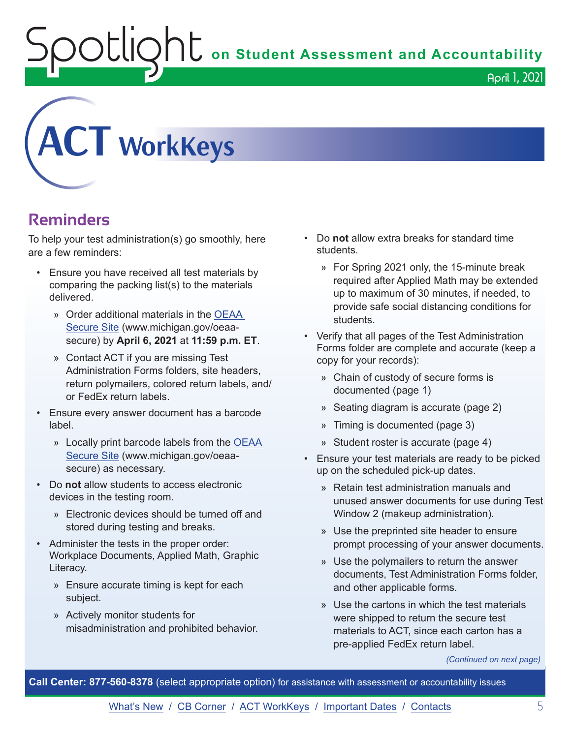OUIQhU on Student Assessment and Accountability

April 1, 2021

<span id="page-4-0"></span>

# **Reminders**

To help your test administration(s) go smoothly, here are a few reminders:

- Ensure you have received all test materials by comparing the packing list(s) to the materials delivered.
	- » Order additional materials in the [OEAA](http://www.michigan.gov/oeaa-secure)  [Secure Site](http://www.michigan.gov/oeaa-secure) (www.michigan.gov/oeaasecure) by **April 6, 2021** at **11:59 p.m. ET**.
	- » Contact ACT if you are missing Test Administration Forms folders, site headers, return polymailers, colored return labels, and/ or FedEx return labels.
- Ensure every answer document has a barcode label.
	- » Locally print barcode labels from the [OEAA](http://www.michigan.gov/oeaa-secure)  [Secure Site](http://www.michigan.gov/oeaa-secure) (www.michigan.gov/oeaasecure) as necessary.
- Do **not** allow students to access electronic devices in the testing room.
	- » Electronic devices should be turned off and stored during testing and breaks.
- Administer the tests in the proper order: Workplace Documents, Applied Math, Graphic Literacy.
	- » Ensure accurate timing is kept for each subject.
	- » Actively monitor students for misadministration and prohibited behavior.
- Do **not** allow extra breaks for standard time students.
	- » For Spring 2021 only, the 15-minute break required after Applied Math may be extended up to maximum of 30 minutes, if needed, to provide safe social distancing conditions for students.
- Verify that all pages of the Test Administration Forms folder are complete and accurate (keep a copy for your records):
	- » Chain of custody of secure forms is documented (page 1)
	- » Seating diagram is accurate (page 2)
	- » Timing is documented (page 3)
	- » Student roster is accurate (page 4)
- Ensure your test materials are ready to be picked up on the scheduled pick-up dates.
	- » Retain test administration manuals and unused answer documents for use during Test Window 2 (makeup administration).
	- » Use the preprinted site header to ensure prompt processing of your answer documents.
	- » Use the polymailers to return the answer documents, Test Administration Forms folder, and other applicable forms.
	- » Use the cartons in which the test materials were shipped to return the secure test materials to ACT, since each carton has a pre-applied FedEx return label.

*(Continued on next page)*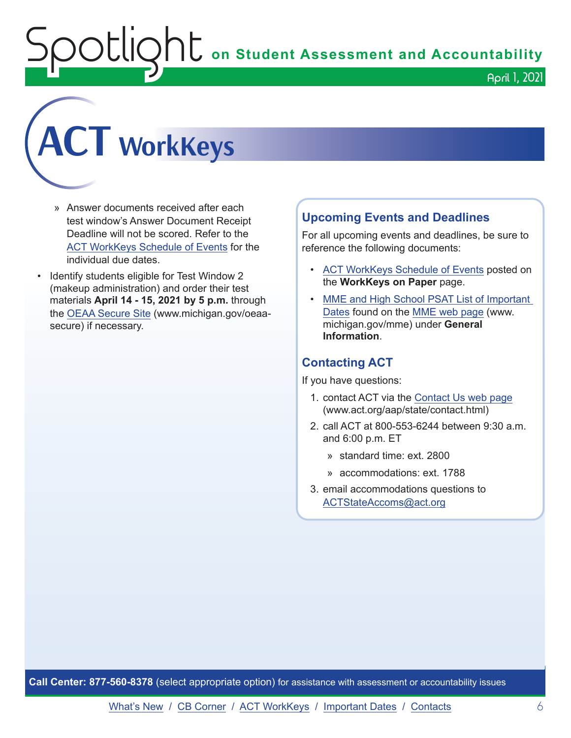**Spotlight Conduct Assessment and Accountability** April 1, 2021

# **ACT WorkKeys**

- » Answer documents received after each test window's Answer Document Receipt Deadline will not be scored. Refer to the [ACT WorkKeys Schedule](https://content.act.org/michigan/r/YWy2bAxclTdZAcOxrrNErw/root) of Events for the individual due dates.
- Identify students eligible for Test Window 2 (makeup administration) and order their test materials **April 14 - 15, 2021 by 5 p.m.** through the [OEAA Secure Site](http://www.michigan.gov/oeaa-secure) (www.michigan.gov/oeaasecure) if necessary.

#### **Upcoming Events and Deadlines**

For all upcoming events and deadlines, be sure to reference the following documents:

- [ACT WorkKeys Schedule](https://content.act.org/michigan/r/YWy2bAxclTdZAcOxrrNErw/root) of Events posted on the **WorkKeys on Paper** page.
- [MME and High School PSAT List of Important](https://www.michigan.gov/mde/0,4615,7-140-22709_105605---,00.html)  [Dates](https://www.michigan.gov/mde/0,4615,7-140-22709_105605---,00.html) found on the [MME web page](http://www.michigan.gov/mme) (www. michigan.gov/mme) under **General Information**.

#### **Contacting ACT**

If you have questions:

- 1. contact ACT via the [Contact Us web page](http://www.act.org/aap/state/contact.html) (www.act.org/aap/state/contact.html)
- 2. call ACT at 800-553-6244 between 9:30 a.m. and 6:00 p.m. ET
	- » standard time: ext. 2800
	- » accommodations: ext. 1788
- 3. email accommodations questions to [ACTStateAccoms@act.org](mailto:ACTStateAccoms%40act.org?subject=)

**Call Center: 877-560-8378** (select appropriate option) for assistance with assessment or accountability issues

[What's New](#page-0-0) / [CB Corner](#page-3-0) / [ACT WorkKeys](#page-4-0) / [Important Dates](#page-6-0) / [Contacts](#page-8-0) 6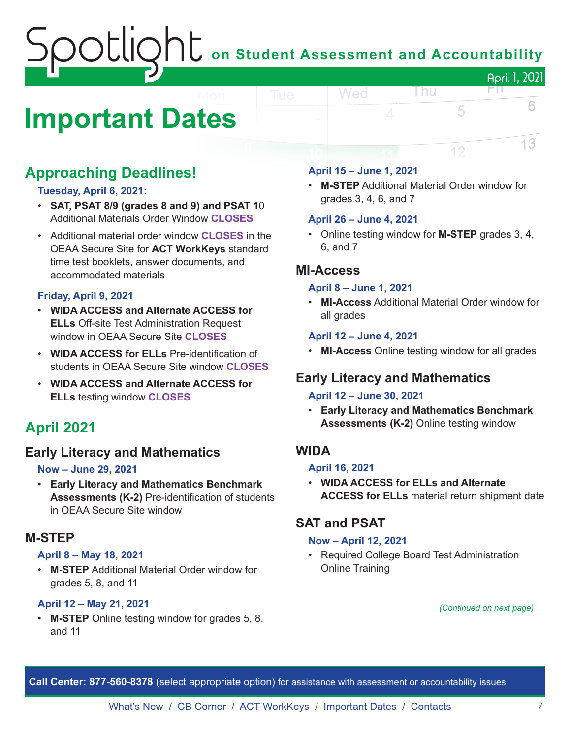# on Student Assessment and Accountability April 1, 2021

# <span id="page-6-0"></span>**Important Dates**

# **Approaching Deadlines!**

#### **Tuesday, April 6, 2021:**

- **SAT, PSAT 8/9 (grades 8 and 9) and PSAT 1**0 Additional Materials Order Window **CLOSES**
- Additional material order window **CLOSES** in the OEAA Secure Site for **ACT WorkKeys** standard time test booklets, answer documents, and accommodated materials

#### **Friday, April 9, 2021**

- **WIDA ACCESS and Alternate ACCESS for ELLs** Off-site Test Administration Request window in OEAA Secure Site **CLOSES**
- **WIDA ACCESS for ELLs** Pre-identification of students in OEAA Secure Site window **CLOSES**
- **WIDA ACCESS and Alternate ACCESS for ELLs** testing window **CLOSES**

# **April 2021**

#### **Early Literacy and Mathematics**

#### **Now – June 29, 2021**

• **Early Literacy and Mathematics Benchmark Assessments (K-2)** Pre-identification of students in OEAA Secure Site window

#### **M-STEP**

#### **April 8 – May 18, 2021**

• **M-STEP** Additional Material Order window for grades 5, 8, and 11

#### **April 12 – May 21, 2021**

**M-STEP** Online testing window for grades 5, 8, and 11

#### **April 15 – June 1, 2021**

Wed

• **M-STEP** Additional Material Order window for grades 3, 4, 6, and 7

l nu

FN.

5

12

6

13

#### **April 26 – June 4, 2021**

• Online testing window for **M-STEP** grades 3, 4, 6, and 7

#### **MI-Access**

#### **April 8 – June 1, 2021**

• **MI-Access** Additional Material Order window for all grades

#### **April 12 – June 4, 2021**

• **MI-Access** Online testing window for all grades

## **Early Literacy and Mathematics**

#### **April 12 – June 30, 2021**

• **Early Literacy and Mathematics Benchmark Assessments (K-2)** Online testing window

#### **WIDA**

#### **April 16, 2021**

• **WIDA ACCESS for ELLs and Alternate ACCESS for ELLs** material return shipment date

## **SAT and PSAT**

#### **Now – April 12, 2021**

• Required College Board Test Administration Online Training

*(Continued on next page)*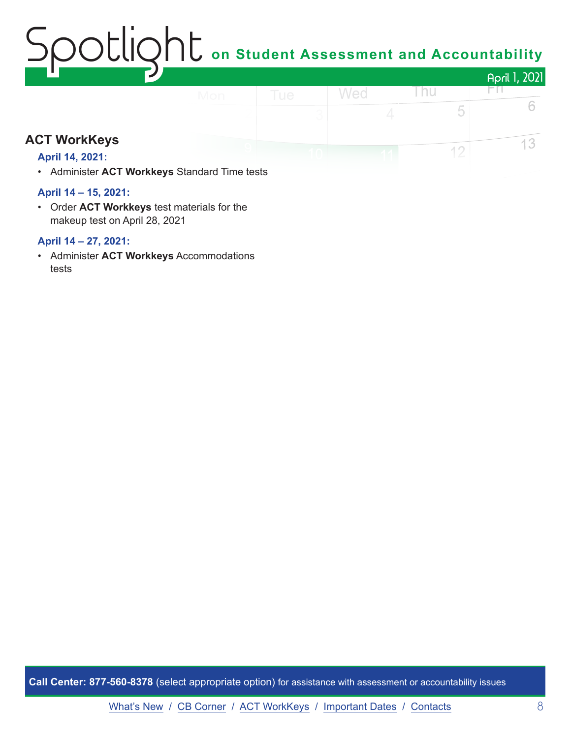## OCLION<sub>L</sub> on Student Assessment and Accountability April 1, 2021 Wed Thu FП.

# **ACT WorkKeys**

#### **April 14, 2021:**

• Administer **ACT Workkeys** Standard Time tests

#### **April 14 – 15, 2021:**

• Order **ACT Workkeys** test materials for the makeup test on April 28, 2021

#### **April 14 – 27, 2021:**

• Administer **ACT Workkeys** Accommodations tests

**Call Center: 877-560-8378** (select appropriate option) for assistance with assessment or accountability issues

6

13

5

 $12$